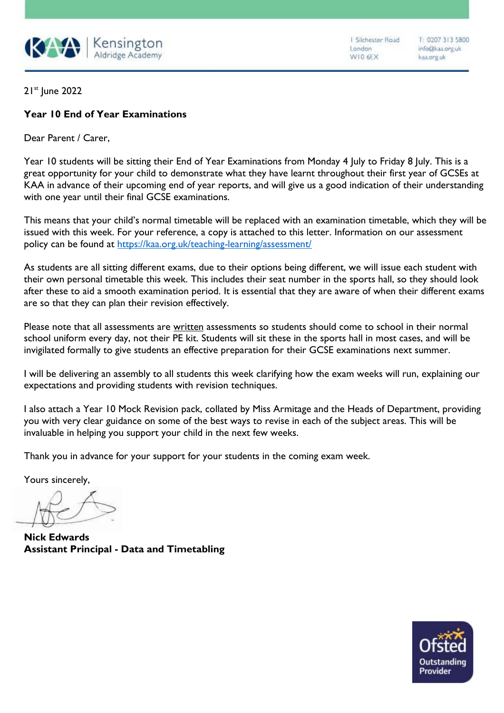

I Silchester Road London W10 6EX

T: 0207 313 5800 info@kaa.org.uk kaa.org.uk

21st June 2022

## **Year 10 End of Year Examinations**

Dear Parent / Carer,

Year 10 students will be sitting their End of Year Examinations from Monday 4 July to Friday 8 July. This is a great opportunity for your child to demonstrate what they have learnt throughout their first year of GCSEs at KAA in advance of their upcoming end of year reports, and will give us a good indication of their understanding with one year until their final GCSE examinations.

This means that your child's normal timetable will be replaced with an examination timetable, which they will be issued with this week. For your reference, a copy is attached to this letter. Information on our assessment policy can be found at <https://kaa.org.uk/teaching-learning/assessment/>

As students are all sitting different exams, due to their options being different, we will issue each student with their own personal timetable this week. This includes their seat number in the sports hall, so they should look after these to aid a smooth examination period. It is essential that they are aware of when their different exams are so that they can plan their revision effectively.

Please note that all assessments are written assessments so students should come to school in their normal school uniform every day, not their PE kit. Students will sit these in the sports hall in most cases, and will be invigilated formally to give students an effective preparation for their GCSE examinations next summer.

I will be delivering an assembly to all students this week clarifying how the exam weeks will run, explaining our expectations and providing students with revision techniques.

I also attach a Year 10 Mock Revision pack, collated by Miss Armitage and the Heads of Department, providing you with very clear guidance on some of the best ways to revise in each of the subject areas. This will be invaluable in helping you support your child in the next few weeks.

Thank you in advance for your support for your students in the coming exam week.

Yours sincerely,

**Nick Edwards Assistant Principal - Data and Timetabling**